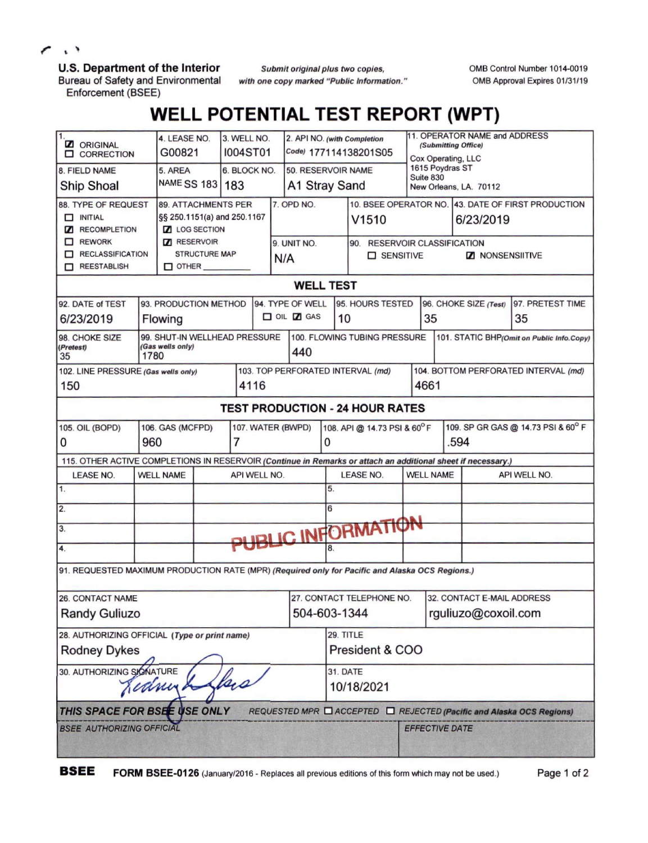$\cdot$   $\rightarrow$ ╭

## **U.S. Department of the Interior**

Bureau of Safety and Environmental Enforcement (BSEE)

*Submit original plus two copies, with one copy marked "Public Information.'* OMB Control Number 1014-0019 0MB Approval Expires 01/31/19

## **WELL POTENTIAL TEST REPORT (WPT)**

| $\mathbf{1}$<br><b>Z</b> ORIGINAL<br><b>O CORRECTION</b>                                                     |      | 4. LEASE NO.<br>G00821                     |                      |       | 3. WELL NO.<br><b>I004ST01</b> |     | 2. API NO. (with Completion     |    |                 | Code) 177114138201S05                       |                              | 11. OPERATOR NAME and ADDRESS<br>(Submitting Office)<br>Cox Operating, LLC |                                                    |
|--------------------------------------------------------------------------------------------------------------|------|--------------------------------------------|----------------------|-------|--------------------------------|-----|---------------------------------|----|-----------------|---------------------------------------------|------------------------------|----------------------------------------------------------------------------|----------------------------------------------------|
| 8. FIELD NAME                                                                                                |      | 5. AREA                                    |                      |       | 6. BLOCK NO.                   |     | 50. RESERVOIR NAME              |    |                 |                                             | 1615 Poydras ST<br>Suite 830 |                                                                            |                                                    |
| Ship Shoal                                                                                                   |      | NAME SS 183   183                          |                      |       |                                |     | A1 Stray Sand                   |    |                 |                                             |                              | New Orleans, LA. 70112                                                     |                                                    |
| 88. TYPE OF REQUEST                                                                                          |      | 89. ATTACHMENTS PER                        |                      |       |                                |     | 7. OPD NO.                      |    |                 |                                             |                              |                                                                            | 10. BSEE OPERATOR NO. 43. DATE OF FIRST PRODUCTION |
| <b>NITIAL</b>                                                                                                |      | §§ 250.1151(a) and 250.1167                |                      |       |                                |     |                                 |    |                 | V1510                                       |                              | 6/23/2019                                                                  |                                                    |
| <b>Z</b> RECOMPLETION<br>$R$ REWORK                                                                          |      | <b>Z</b> LOG SECTION<br><b>Z</b> RESERVOIR |                      |       |                                |     |                                 |    |                 |                                             |                              |                                                                            |                                                    |
| RECLASSIFICATION                                                                                             |      |                                            | <b>STRUCTURE MAP</b> |       |                                |     | 9. UNIT NO.                     |    |                 | 90. RESERVOIR CLASSIFICATION<br>□ SENSITIVE |                              | <b>ZI NONSENSIITIVE</b>                                                    |                                                    |
| REESTABLISH                                                                                                  |      | $\Box$ OTHER                               |                      |       |                                | N/A |                                 |    |                 |                                             |                              |                                                                            |                                                    |
|                                                                                                              |      |                                            |                      |       |                                |     | <b>WELL TEST</b>                |    |                 |                                             |                              |                                                                            |                                                    |
| 92. DATE of TEST                                                                                             |      | 93. PRODUCTION METHOD                      |                      |       |                                |     | 94. TYPE OF WELL                |    |                 | 95. HOURS TESTED                            |                              | 96. CHOKE SIZE (Test)                                                      | 97. PRETEST TIME                                   |
| 6/23/2019                                                                                                    |      | Flowing                                    |                      |       |                                |     | $\Box$ OIL $\Box$ GAS           |    | 10              |                                             | 35                           |                                                                            | 35                                                 |
| 98. CHOKE SIZE                                                                                               |      | 99. SHUT-IN WELLHEAD PRESSURE              |                      |       |                                |     |                                 |    |                 | 100. FLOWING TUBING PRESSURE                |                              |                                                                            | 101. STATIC BHP(Omit on Public Info.Copy)          |
| (Pretest)<br>35                                                                                              | 1780 | (Gas wells only)                           |                      |       |                                |     | 440                             |    |                 |                                             |                              |                                                                            |                                                    |
| 102. LINE PRESSURE (Gas wells only)                                                                          |      |                                            |                      |       |                                |     |                                 |    |                 | 103. TOP PERFORATED INTERVAL (md)           |                              |                                                                            | 104. BOTTOM PERFORATED INTERVAL (md)               |
| 150                                                                                                          |      |                                            |                      |       | 4116                           |     |                                 |    |                 |                                             | 4661                         |                                                                            |                                                    |
|                                                                                                              |      |                                            |                      |       |                                |     |                                 |    |                 | <b>TEST PRODUCTION - 24 HOUR RATES</b>      |                              |                                                                            |                                                    |
| 105. OIL (BOPD)                                                                                              |      | 106. GAS (MCFPD)                           |                      |       | 107. WATER (BWPD)              |     |                                 |    |                 | 108. API @ 14.73 PSI & 60°F                 |                              |                                                                            | 109. SP GR GAS @ 14.73 PSI & 60° F                 |
| 0                                                                                                            | 960  |                                            |                      | 7     |                                |     |                                 | 0  |                 |                                             |                              | .594                                                                       |                                                    |
| 115. OTHER ACTIVE COMPLETIONS IN RESERVOIR (Continue in Remarks or attach an additional sheet if necessary.) |      |                                            |                      |       |                                |     |                                 |    |                 |                                             |                              |                                                                            |                                                    |
| LEASE NO.                                                                                                    |      | <b>WELL NAME</b>                           |                      |       | API WELL NO.                   |     |                                 |    |                 | <b>LEASE NO.</b>                            | <b>WELL NAME</b>             |                                                                            | API WELL NO.                                       |
| 1.                                                                                                           |      |                                            |                      |       |                                |     |                                 | 5. |                 |                                             |                              |                                                                            |                                                    |
| 2.                                                                                                           |      |                                            |                      |       |                                |     |                                 | 6  |                 |                                             |                              |                                                                            |                                                    |
| 3.                                                                                                           |      |                                            |                      |       |                                |     |                                 |    |                 | PUBLIC INFORMATION                          |                              |                                                                            |                                                    |
| 4.                                                                                                           |      |                                            |                      |       |                                |     |                                 |    |                 |                                             |                              |                                                                            |                                                    |
| 91. REQUESTED MAXIMUM PRODUCTION RATE (MPR) (Required only for Pacific and Alaska OCS Regions.)              |      |                                            |                      |       |                                |     |                                 |    |                 |                                             |                              |                                                                            |                                                    |
| <b>26. CONTACT NAME</b>                                                                                      |      |                                            |                      |       |                                |     |                                 |    |                 | 27. CONTACT TELEPHONE NO.                   |                              | 32. CONTACT E-MAIL ADDRESS                                                 |                                                    |
| <b>Randy Guliuzo</b>                                                                                         |      |                                            |                      |       |                                |     | 504-603-1344                    |    |                 |                                             |                              | rguliuzo@coxoil.com                                                        |                                                    |
| 28. AUTHORIZING OFFICIAL (Type or print name)                                                                |      |                                            |                      |       |                                |     |                                 |    | 29. TITLE       |                                             |                              |                                                                            |                                                    |
| <b>Rodney Dykes</b>                                                                                          |      |                                            |                      |       |                                |     |                                 |    |                 | President & COO                             |                              |                                                                            |                                                    |
| 30. AUTHORIZING SIGNATURE                                                                                    |      | Kedning                                    |                      | flace |                                |     |                                 |    | <b>31. DATE</b> | 10/18/2021                                  |                              |                                                                            |                                                    |
|                                                                                                              |      |                                            |                      |       |                                |     |                                 |    |                 |                                             |                              |                                                                            |                                                    |
| THIS SPACE FOR BSEE USE ONLY                                                                                 |      |                                            |                      |       |                                |     | <b>REQUESTED MPR □ ACCEPTED</b> |    |                 |                                             |                              |                                                                            | REJECTED (Pacific and Alaska OCS Regions)          |
| <b>BSEE AUTHORIZING OFFICIAL</b>                                                                             |      |                                            |                      |       |                                |     |                                 |    |                 |                                             | <b>EFFECTIVE DATE</b>        |                                                                            |                                                    |